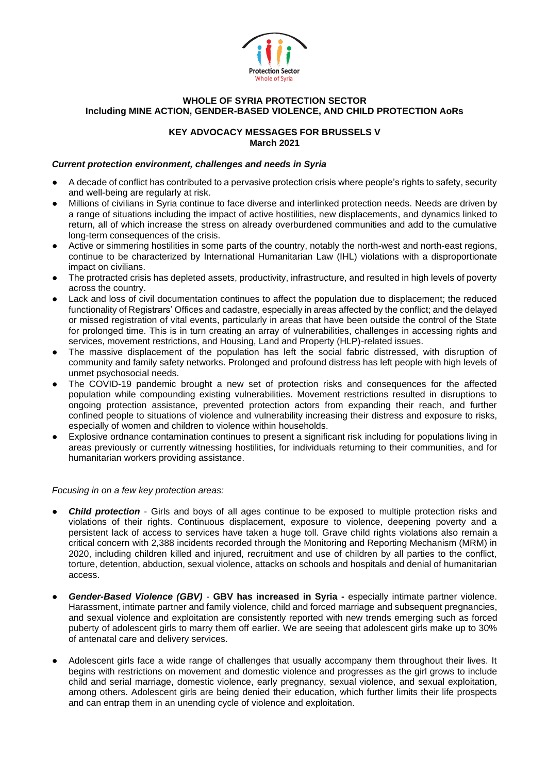

## **WHOLE OF SYRIA PROTECTION SECTOR Including MINE ACTION, GENDER-BASED VIOLENCE, AND CHILD PROTECTION AoRs**

# **KEY ADVOCACY MESSAGES FOR BRUSSELS V March 2021**

## *Current protection environment, challenges and needs in Syria*

- A decade of conflict has contributed to a pervasive protection crisis where people's rights to safety, security and well-being are regularly at risk.
- Millions of civilians in Syria continue to face diverse and interlinked protection needs. Needs are driven by a range of situations including the impact of active hostilities, new displacements, and dynamics linked to return, all of which increase the stress on already overburdened communities and add to the cumulative long-term consequences of the crisis.
- Active or simmering hostilities in some parts of the country, notably the north-west and north-east regions, continue to be characterized by International Humanitarian Law (IHL) violations with a disproportionate impact on civilians.
- The protracted crisis has depleted assets, productivity, infrastructure, and resulted in high levels of poverty across the country.
- Lack and loss of civil documentation continues to affect the population due to displacement; the reduced functionality of Registrars' Offices and cadastre, especially in areas affected by the conflict; and the delayed or missed registration of vital events, particularly in areas that have been outside the control of the State for prolonged time. This is in turn creating an array of vulnerabilities, challenges in accessing rights and services, movement restrictions, and Housing, Land and Property (HLP)-related issues.
- The massive displacement of the population has left the social fabric distressed, with disruption of community and family safety networks. Prolonged and profound distress has left people with high levels of unmet psychosocial needs.
- The COVID-19 pandemic brought a new set of protection risks and consequences for the affected population while compounding existing vulnerabilities. Movement restrictions resulted in disruptions to ongoing protection assistance, prevented protection actors from expanding their reach, and further confined people to situations of violence and vulnerability increasing their distress and exposure to risks, especially of women and children to violence within households.
- Explosive ordnance contamination continues to present a significant risk including for populations living in areas previously or currently witnessing hostilities, for individuals returning to their communities, and for humanitarian workers providing assistance.

#### *Focusing in on a few key protection areas:*

- **Child protection** Girls and boys of all ages continue to be exposed to multiple protection risks and violations of their rights. Continuous displacement, exposure to violence, deepening poverty and a persistent lack of access to services have taken a huge toll. Grave child rights violations also remain a critical concern with 2,388 incidents recorded through the Monitoring and Reporting Mechanism (MRM) in 2020, including children killed and injured, recruitment and use of children by all parties to the conflict, torture, detention, abduction, sexual violence, attacks on schools and hospitals and denial of humanitarian access.
- **Gender-Based Violence (GBV) GBV has increased in Syria -** especially intimate partner violence. Harassment, intimate partner and family violence, child and forced marriage and subsequent pregnancies, and sexual violence and exploitation are consistently reported with new trends emerging such as forced puberty of adolescent girls to marry them off earlier. We are seeing that adolescent girls make up to 30% of antenatal care and delivery services.
- Adolescent girls face a wide range of challenges that usually accompany them throughout their lives. It begins with restrictions on movement and domestic violence and progresses as the girl grows to include child and serial marriage, domestic violence, early pregnancy, sexual violence, and sexual exploitation, among others. Adolescent girls are being denied their education, which further limits their life prospects and can entrap them in an unending cycle of violence and exploitation.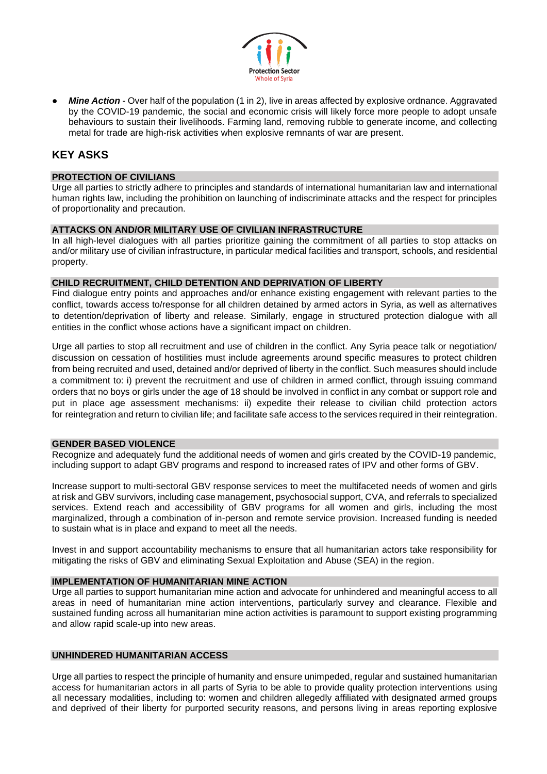

**Mine Action** - Over half of the population (1 in 2), live in areas affected by explosive ordnance. Aggravated by the COVID-19 pandemic, the social and economic crisis will likely force more people to adopt unsafe behaviours to sustain their livelihoods. Farming land, removing rubble to generate income, and collecting metal for trade are high-risk activities when explosive remnants of war are present.

# **KEY ASKS**

# **PROTECTION OF CIVILIANS**

Urge all parties to strictly adhere to principles and standards of international humanitarian law and international human rights law, including the prohibition on launching of indiscriminate attacks and the respect for principles of proportionality and precaution.

#### **ATTACKS ON AND/OR MILITARY USE OF CIVILIAN INFRASTRUCTURE**

In all high-level dialogues with all parties prioritize gaining the commitment of all parties to stop attacks on and/or military use of civilian infrastructure, in particular medical facilities and transport, schools, and residential property.

#### **CHILD RECRUITMENT, CHILD DETENTION AND DEPRIVATION OF LIBERTY**

Find dialogue entry points and approaches and/or enhance existing engagement with relevant parties to the conflict, towards access to/response for all children detained by armed actors in Syria, as well as alternatives to detention/deprivation of liberty and release. Similarly, engage in structured protection dialogue with all entities in the conflict whose actions have a significant impact on children.

Urge all parties to stop all recruitment and use of children in the conflict. Any Syria peace talk or negotiation/ discussion on cessation of hostilities must include agreements around specific measures to protect children from being recruited and used, detained and/or deprived of liberty in the conflict. Such measures should include a commitment to: i) prevent the recruitment and use of children in armed conflict, through issuing command orders that no boys or girls under the age of 18 should be involved in conflict in any combat or support role and put in place age assessment mechanisms: ii) expedite their release to civilian child protection actors for reintegration and return to civilian life; and facilitate safe access to the services required in their reintegration.

#### **GENDER BASED VIOLENCE**

Recognize and adequately fund the additional needs of women and girls created by the COVID-19 pandemic, including support to adapt GBV programs and respond to increased rates of IPV and other forms of GBV.

Increase support to multi-sectoral GBV response services to meet the multifaceted needs of women and girls at risk and GBV survivors, including case management, psychosocial support, CVA, and referrals to specialized services. Extend reach and accessibility of GBV programs for all women and girls, including the most marginalized, through a combination of in-person and remote service provision. Increased funding is needed to sustain what is in place and expand to meet all the needs.

Invest in and support accountability mechanisms to ensure that all humanitarian actors take responsibility for mitigating the risks of GBV and eliminating Sexual Exploitation and Abuse (SEA) in the region.

# **IMPLEMENTATION OF HUMANITARIAN MINE ACTION**

Urge all parties to support humanitarian mine action and advocate for unhindered and meaningful access to all areas in need of humanitarian mine action interventions, particularly survey and clearance. Flexible and sustained funding across all humanitarian mine action activities is paramount to support existing programming and allow rapid scale-up into new areas.

# **UNHINDERED HUMANITARIAN ACCESS**

Urge all parties to respect the principle of humanity and ensure unimpeded, regular and sustained humanitarian access for humanitarian actors in all parts of Syria to be able to provide quality protection interventions using all necessary modalities, including to: women and children allegedly affiliated with designated armed groups and deprived of their liberty for purported security reasons, and persons living in areas reporting explosive